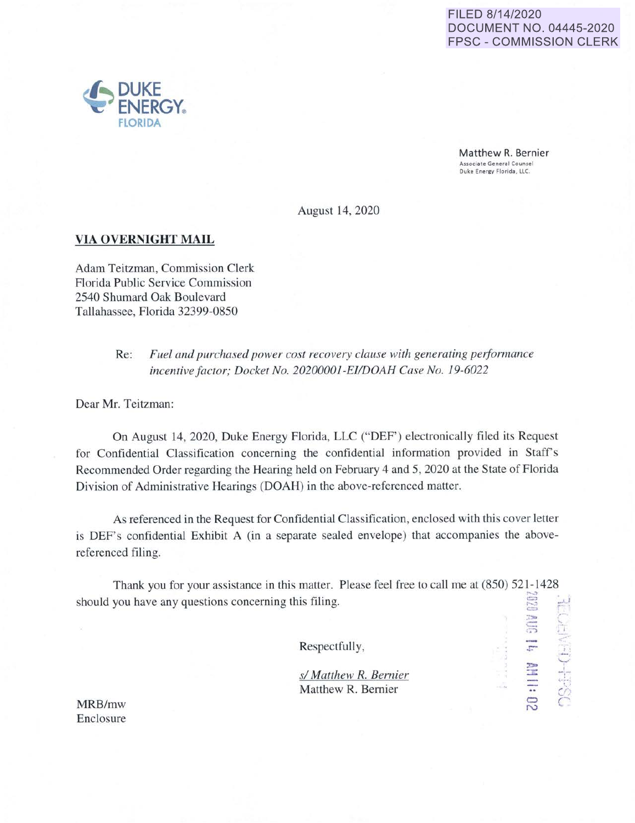## FILED 8/14/2020 DOCUMENT NO. 04445-2020 FPSC - COMMISSION CLERK

:-:•  $\equiv$ , •. ..,

**14 他 11:0** 

**DSdH-CHAPP** 

N

Matthew R. Bernier Associate General Counsel Duke Energy Florida, LLC.

August 14, 2020

## **VIA OVERNIGHT MAIL**

Adam Teitzman, Commission Clerk Florida Public Service Commission 2540 Shumard Oak Boulevard Tallahassee, Florida 32399-0850

> Re: Fuel and purchased power cost recovery clause with generating performance *incentive factor; Docket No. 20200001-EI/DOAH Case No. 19-6022*

Dear Mr. Teitzman:

On August 14, 2020, Duke Energy Florida, LLC ("DEF') electronically filed its Request for Confidential Classification concerning the confidential information provided in Staff's Recommended Order regarding the Hearing held on February 4 and 5, 2020 at the State of Florida Division of Administrative Hearings (DOAH) in the above-referenced matter.

As referenced in the Request for Confidential Classification, enclosed with this cover letter is DEF's confidential Exhibit A (in a separate sealed envelope) that accompanies the abovereferenced filing.

Thank you for your assistance in this matter. Please feel free to call me at  $(850)$  521-1428 should you have any questions concerning this filing. ;~  $\Xi^ \leftarrow'$ 

Respectfully,

*s/ Matthew* **R.** *Bernier*  Matthew R. Bernier

MRB/mw Enclosure